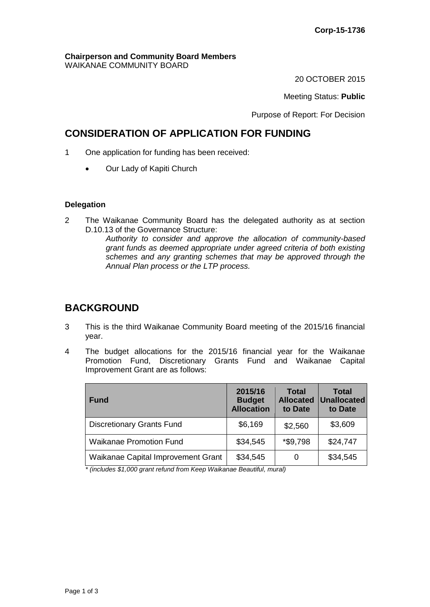#### **Chairperson and Community Board Members** WAIKANAE COMMUNITY BOARD

20 OCTOBER 2015

Meeting Status: **Public**

Purpose of Report: For Decision

## **CONSIDERATION OF APPLICATION FOR FUNDING**

- 1 One application for funding has been received:
	- Our Lady of Kapiti Church

### **Delegation**

2 The Waikanae Community Board has the delegated authority as at section D.10.13 of the Governance Structure:

*Authority to consider and approve the allocation of community-based grant funds as deemed appropriate under agreed criteria of both existing schemes and any granting schemes that may be approved through the Annual Plan process or the LTP process.* 

# **BACKGROUND**

- 3 This is the third Waikanae Community Board meeting of the 2015/16 financial year.
- 4 The budget allocations for the 2015/16 financial year for the Waikanae Promotion Fund, Discretionary Grants Fund and Waikanae Capital Improvement Grant are as follows:

| <b>Fund</b>                        | 2015/16<br><b>Budget</b><br><b>Allocation</b> | Total<br><b>Allocated</b><br>to Date | <b>Total</b><br><b>Unallocated</b><br>to Date |
|------------------------------------|-----------------------------------------------|--------------------------------------|-----------------------------------------------|
| <b>Discretionary Grants Fund</b>   | \$6,169                                       | \$2,560                              | \$3,609                                       |
| <b>Waikanae Promotion Fund</b>     | \$34,545                                      | *\$9,798                             | \$24,747                                      |
| Waikanae Capital Improvement Grant | \$34,545                                      |                                      | \$34,545                                      |

*\* (includes \$1,000 grant refund from Keep Waikanae Beautiful, mural)*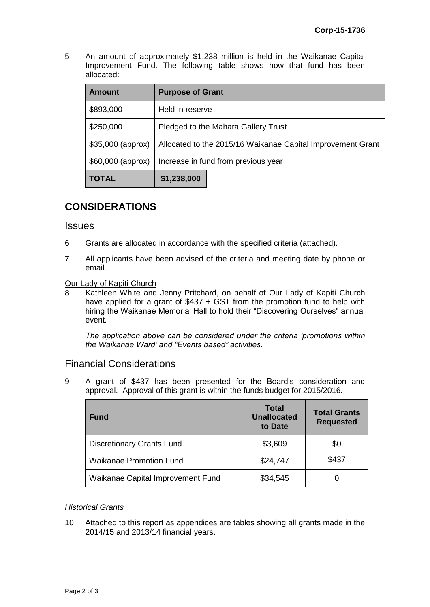5 An amount of approximately \$1.238 million is held in the Waikanae Capital Improvement Fund. The following table shows how that fund has been allocated:

| <b>Amount</b>      | <b>Purpose of Grant</b>                                     |  |  |
|--------------------|-------------------------------------------------------------|--|--|
| \$893,000          | Held in reserve                                             |  |  |
| \$250,000          | Pledged to the Mahara Gallery Trust                         |  |  |
| $$35,000$ (approx) | Allocated to the 2015/16 Waikanae Capital Improvement Grant |  |  |
| \$60,000 (approx)  | Increase in fund from previous year                         |  |  |
| <b>TOTAL</b>       | \$1,238,000                                                 |  |  |

# **CONSIDERATIONS**

### **Issues**

- 6 Grants are allocated in accordance with the specified criteria (attached).
- 7 All applicants have been advised of the criteria and meeting date by phone or email.

### **Our Lady of Kapiti Church**

8 Kathleen White and Jenny Pritchard, on behalf of Our Lady of Kapiti Church have applied for a grant of \$437 + GST from the promotion fund to help with hiring the Waikanae Memorial Hall to hold their "Discovering Ourselves" annual event.

*The application above can be considered under the criteria 'promotions within the Waikanae Ward' and "Events based" activities.*

### Financial Considerations

9 A grant of \$437 has been presented for the Board's consideration and approval. Approval of this grant is within the funds budget for 2015/2016.

| <b>Fund</b>                       | <b>Total</b><br><b>Unallocated</b><br>to Date | <b>Total Grants</b><br><b>Requested</b> |
|-----------------------------------|-----------------------------------------------|-----------------------------------------|
| <b>Discretionary Grants Fund</b>  | \$3,609                                       | \$0                                     |
| <b>Waikanae Promotion Fund</b>    | \$24,747                                      | \$437                                   |
| Waikanae Capital Improvement Fund | \$34,545                                      |                                         |

### *Historical Grants*

10 Attached to this report as appendices are tables showing all grants made in the 2014/15 and 2013/14 financial years.